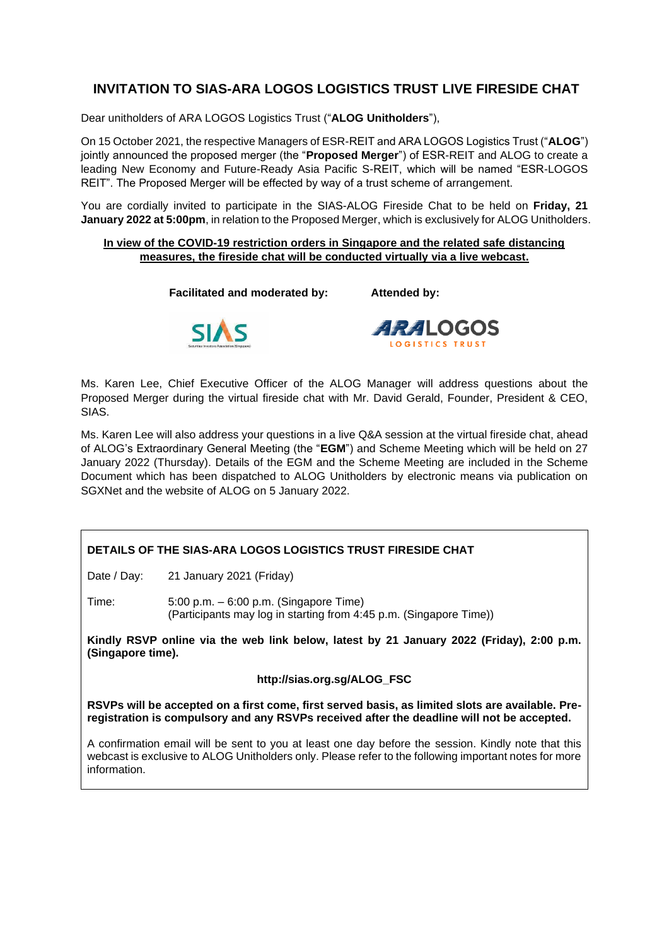# **INVITATION TO SIAS-ARA LOGOS LOGISTICS TRUST LIVE FIRESIDE CHAT**

Dear unitholders of ARA LOGOS Logistics Trust ("**ALOG Unitholders**"),

On 15 October 2021, the respective Managers of ESR-REIT and ARA LOGOS Logistics Trust ("**ALOG**") jointly announced the proposed merger (the "**Proposed Merger**") of ESR-REIT and ALOG to create a leading New Economy and Future-Ready Asia Pacific S-REIT, which will be named "ESR-LOGOS REIT". The Proposed Merger will be effected by way of a trust scheme of arrangement.

You are cordially invited to participate in the SIAS-ALOG Fireside Chat to be held on **Friday, 21 January 2022 at 5:00pm**, in relation to the Proposed Merger, which is exclusively for ALOG Unitholders.

## **In view of the COVID-19 restriction orders in Singapore and the related safe distancing measures, the fireside chat will be conducted virtually via a live webcast.**

**Facilitated and moderated by: Attended by:**





Ms. Karen Lee, Chief Executive Officer of the ALOG Manager will address questions about the Proposed Merger during the virtual fireside chat with Mr. David Gerald, Founder, President & CEO, SIAS.

Ms. Karen Lee will also address your questions in a live Q&A session at the virtual fireside chat, ahead of ALOG's Extraordinary General Meeting (the "**EGM**") and Scheme Meeting which will be held on 27 January 2022 (Thursday). Details of the EGM and the Scheme Meeting are included in the Scheme Document which has been dispatched to ALOG Unitholders by electronic means via publication on SGXNet and the website of ALOG on 5 January 2022.

## **DETAILS OF THE SIAS-ARA LOGOS LOGISTICS TRUST FIRESIDE CHAT**

Date / Day: 21 January 2021 (Friday)

Time: 5:00 p.m. – 6:00 p.m. (Singapore Time) (Participants may log in starting from 4:45 p.m. (Singapore Time))

**Kindly RSVP online via the web link below, latest by 21 January 2022 (Friday), 2:00 p.m. (Singapore time).**

### **http://sias.org.sg/ALOG\_FSC**

**RSVPs will be accepted on a first come, first served basis, as limited slots are available. Preregistration is compulsory and any RSVPs received after the deadline will not be accepted.**

A confirmation email will be sent to you at least one day before the session. Kindly note that this webcast is exclusive to ALOG Unitholders only. Please refer to the following important notes for more information.